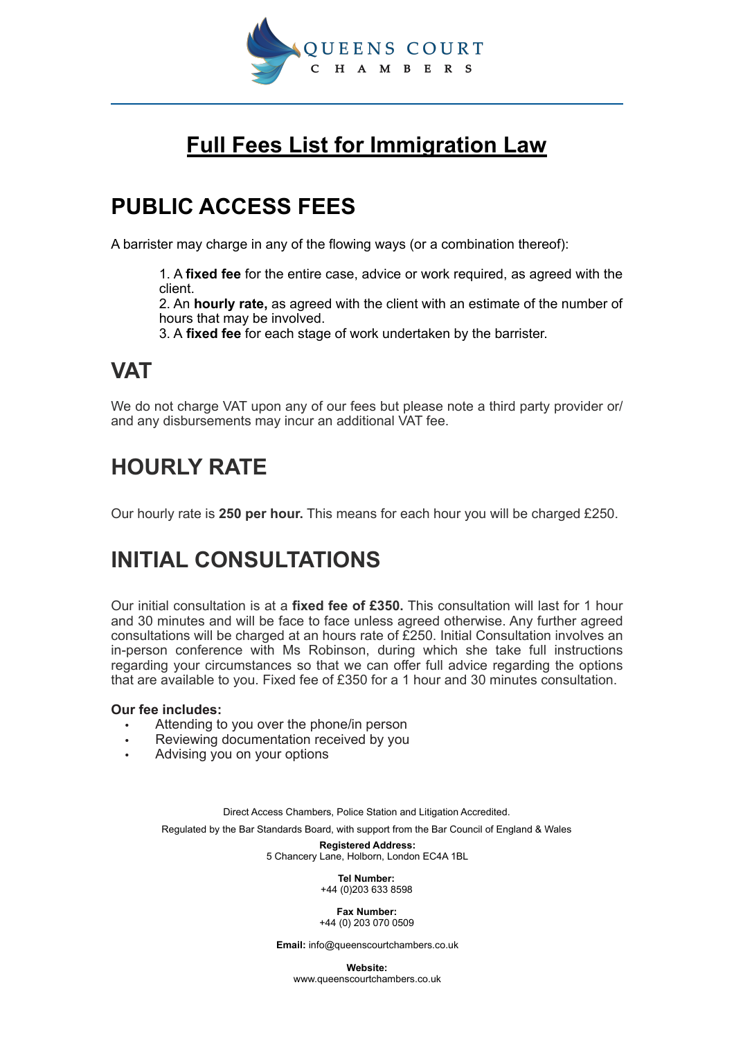

# **Full Fees List for Immigration Law**

# **PUBLIC ACCESS FEES**

A barrister may charge in any of the flowing ways (or a combination thereof):

1. A **fixed fee** for the entire case, advice or work required, as agreed with the client.

2. An **hourly rate,** as agreed with the client with an estimate of the number of hours that may be involved.

3. A **fixed fee** for each stage of work undertaken by the barrister.

# **VAT**

We do not charge VAT upon any of our fees but please note a third party provider or/ and any disbursements may incur an additional VAT fee.

# **HOURLY RATE**

Our hourly rate is **250 per hour.** This means for each hour you will be charged £250.

# **INITIAL CONSULTATIONS**

Our initial consultation is at a **fixed fee of £350.** This consultation will last for 1 hour and 30 minutes and will be face to face unless agreed otherwise. Any further agreed consultations will be charged at an hours rate of £250. Initial Consultation involves an in-person conference with Ms Robinson, during which she take full instructions regarding your circumstances so that we can offer full advice regarding the options that are available to you. Fixed fee of £350 for a 1 hour and 30 minutes consultation.

### **Our fee includes:**

- Attending to you over the phone/in person
- Reviewing documentation received by you
- Advising you on your options

Direct Access Chambers, Police Station and Litigation Accredited. Regulated by the Bar Standards Board, with support from the Bar Council of England & Wales

> **Registered Address:**  5 Chancery Lane, Holborn, London EC4A 1BL

> > **Tel Number:**  +44 (0)203 633 8598

**Fax Number:**  +44 (0) 203 070 0509

**Email:** info@queenscourtchambers.co.uk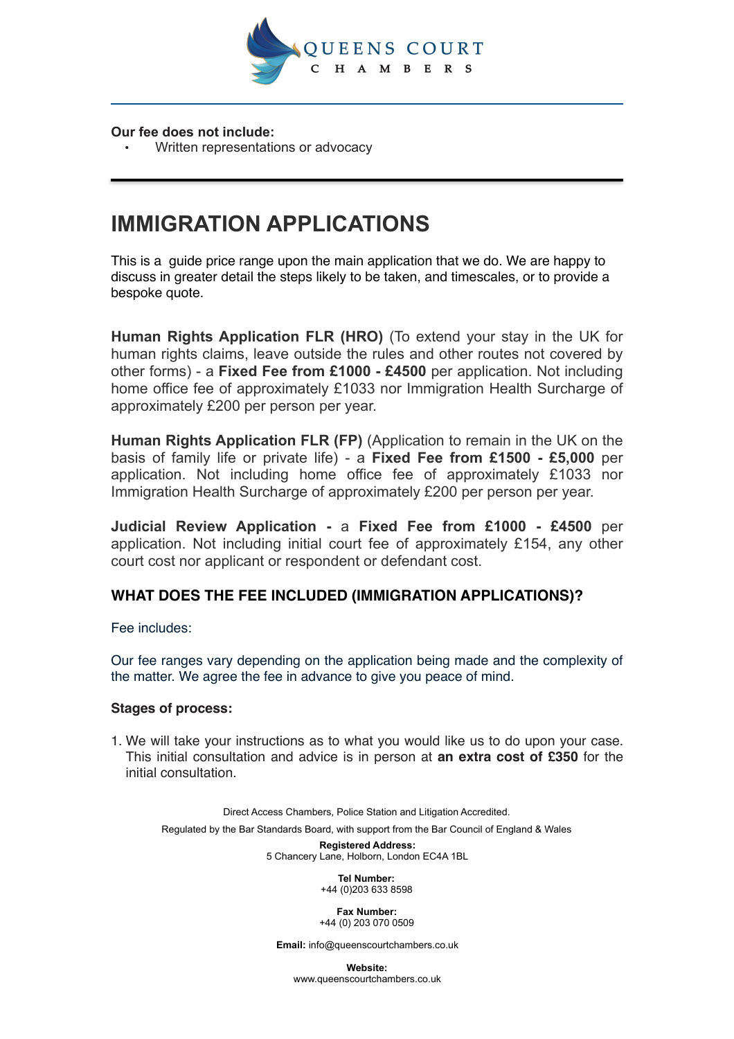

#### **Our fee does not include:**

• Written representations or advocacy

# **IMMIGRATION APPLICATIONS**

This is a guide price range upon the main application that we do. We are happy to discuss in greater detail the steps likely to be taken, and timescales, or to provide a bespoke quote.

**Human Rights Application FLR (HRO)** (To extend your stay in the UK for human rights claims, leave outside the rules and other routes not covered by other forms) - a **Fixed Fee from £1000 - £4500** per application. Not including home office fee of approximately £1033 nor Immigration Health Surcharge of approximately £200 per person per year.

**Human Rights Application FLR (FP)** (Application to remain in the UK on the basis of family life or private life) - a **Fixed Fee from £1500 - £5,000** per application. Not including home office fee of approximately £1033 nor Immigration Health Surcharge of approximately £200 per person per year.

**Judicial Review Application -** a **Fixed Fee from £1000 - £4500** per application. Not including initial court fee of approximately £154, any other court cost nor applicant or respondent or defendant cost.

## **WHAT DOES THE FEE INCLUDED (IMMIGRATION APPLICATIONS)?**

Fee includes:

Our fee ranges vary depending on the application being made and the complexity of the matter. We agree the fee in advance to give you peace of mind.

#### **Stages of process:**

1. We will take your instructions as to what you would like us to do upon your case. This initial consultation and advice is in person at **an extra cost of £350** for the initial consultation.

Direct Access Chambers, Police Station and Litigation Accredited. Regulated by the Bar Standards Board, with support from the Bar Council of England & Wales

**Registered Address:**  5 Chancery Lane, Holborn, London EC4A 1BL

> **Tel Number:**  +44 (0)203 633 8598

**Fax Number:**  +44 (0) 203 070 0509

**Email:** info@queenscourtchambers.co.uk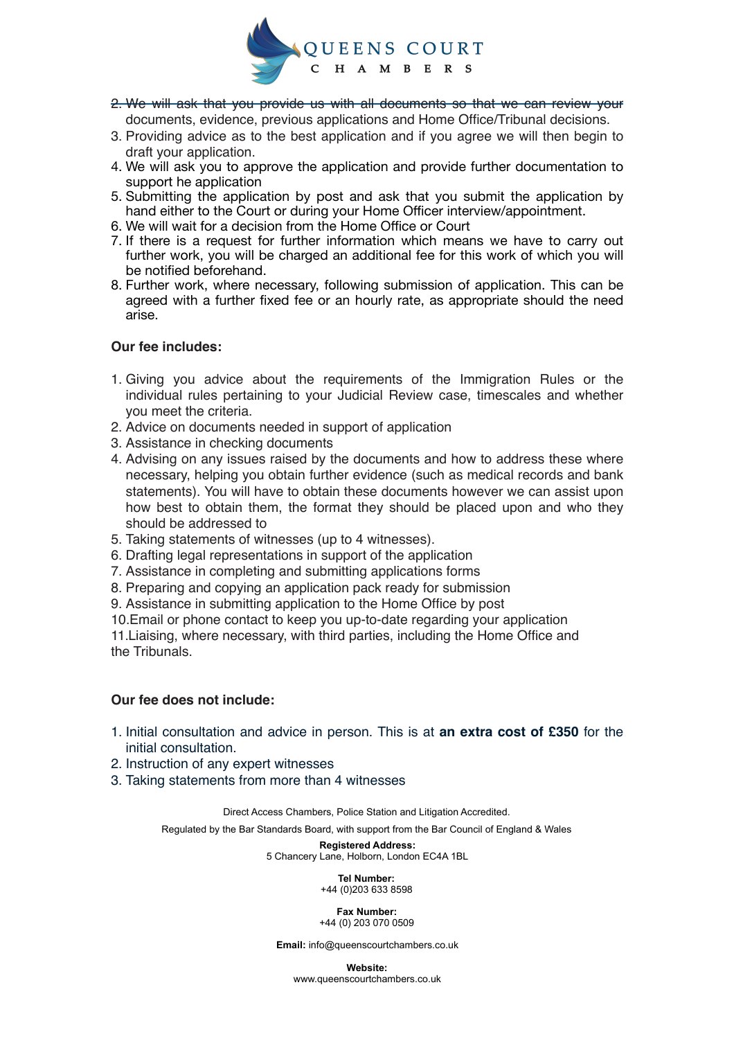

- 2. We will ask that you provide us with all documents so that we can review your documents, evidence, previous applications and Home Office/Tribunal decisions.
- 3. Providing advice as to the best application and if you agree we will then begin to draft your application.
- 4. We will ask you to approve the application and provide further documentation to support he application
- 5. Submitting the application by post and ask that you submit the application by hand either to the Court or during your Home Officer interview/appointment.
- 6. We will wait for a decision from the Home Office or Court
- 7. If there is a request for further information which means we have to carry out further work, you will be charged an additional fee for this work of which you will be notified beforehand.
- 8. Further work, where necessary, following submission of application. This can be agreed with a further fixed fee or an hourly rate, as appropriate should the need arise.

#### **Our fee includes:**

- 1. Giving you advice about the requirements of the Immigration Rules or the individual rules pertaining to your Judicial Review case, timescales and whether you meet the criteria.
- 2. Advice on documents needed in support of application
- 3. Assistance in checking documents
- 4. Advising on any issues raised by the documents and how to address these where necessary, helping you obtain further evidence (such as medical records and bank statements). You will have to obtain these documents however we can assist upon how best to obtain them, the format they should be placed upon and who they should be addressed to
- 5. Taking statements of witnesses (up to 4 witnesses).
- 6. Drafting legal representations in support of the application
- 7. Assistance in completing and submitting applications forms
- 8. Preparing and copying an application pack ready for submission
- 9. Assistance in submitting application to the Home Office by post
- 10.Email or phone contact to keep you up-to-date regarding your application

11.Liaising, where necessary, with third parties, including the Home Office and the Tribunals.

#### **Our fee does not include:**

- 1. Initial consultation and advice in person. This is at **an extra cost of £350** for the initial consultation.
- 2. Instruction of any expert witnesses
- 3. Taking statements from more than 4 witnesses

Direct Access Chambers, Police Station and Litigation Accredited.

Regulated by the Bar Standards Board, with support from the Bar Council of England & Wales

**Registered Address:**  5 Chancery Lane, Holborn, London EC4A 1BL

> **Tel Number:**  +44 (0)203 633 8598

#### **Fax Number:**  +44 (0) 203 070 0509

**Email:** info@queenscourtchambers.co.uk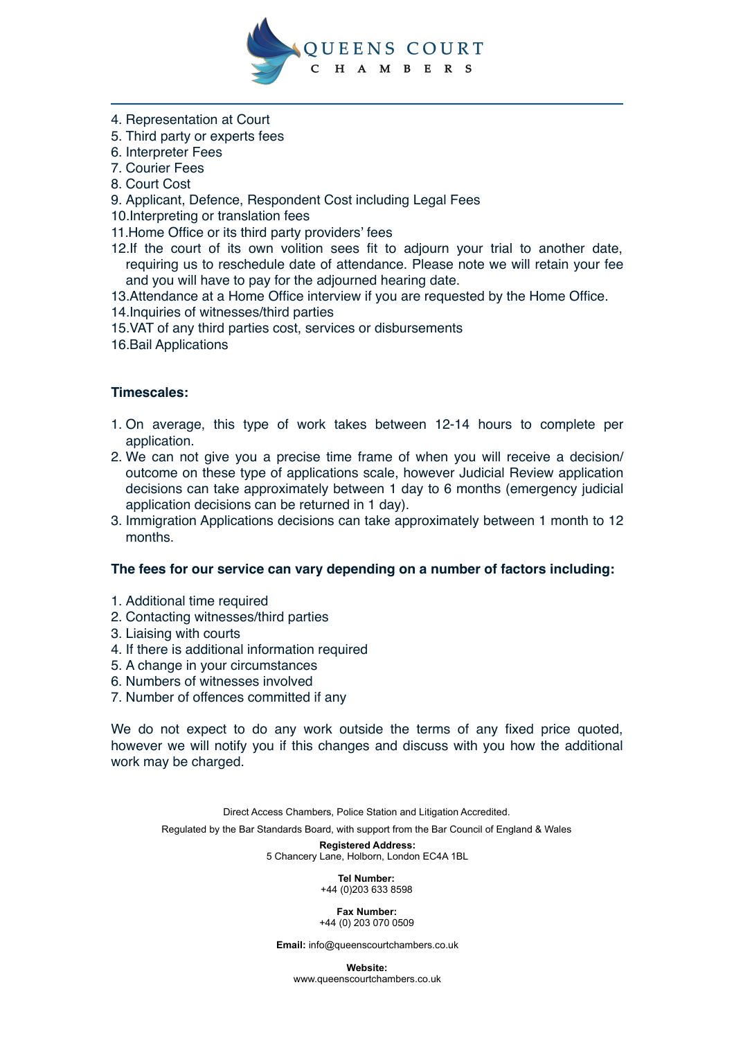

- 4. Representation at Court
- 5. Third party or experts fees
- 6. Interpreter Fees
- 7. Courier Fees
- 8. Court Cost
- 9. Applicant, Defence, Respondent Cost including Legal Fees
- 10.Interpreting or translation fees
- 11.Home Office or its third party providers' fees
- 12.If the court of its own volition sees fit to adjourn your trial to another date, requiring us to reschedule date of attendance. Please note we will retain your fee and you will have to pay for the adjourned hearing date.
- 13.Attendance at a Home Office interview if you are requested by the Home Office.
- 14.Inquiries of witnesses/third parties
- 15.VAT of any third parties cost, services or disbursements
- 16.Bail Applications

### **Timescales:**

- 1. On average, this type of work takes between 12-14 hours to complete per application.
- 2. We can not give you a precise time frame of when you will receive a decision/ outcome on these type of applications scale, however Judicial Review application decisions can take approximately between 1 day to 6 months (emergency judicial application decisions can be returned in 1 day).
- 3. Immigration Applications decisions can take approximately between 1 month to 12 months.

#### **The fees for our service can vary depending on a number of factors including:**

- 1. Additional time required
- 2. Contacting witnesses/third parties
- 3. Liaising with courts
- 4. If there is additional information required
- 5. A change in your circumstances
- 6. Numbers of witnesses involved
- 7. Number of offences committed if any

We do not expect to do any work outside the terms of any fixed price quoted, however we will notify you if this changes and discuss with you how the additional work may be charged.

Direct Access Chambers, Police Station and Litigation Accredited. Regulated by the Bar Standards Board, with support from the Bar Council of England & Wales

> **Registered Address:**  5 Chancery Lane, Holborn, London EC4A 1BL

> > **Tel Number:**  +44 (0)203 633 8598

**Fax Number:**  +44 (0) 203 070 0509

**Email:** info@queenscourtchambers.co.uk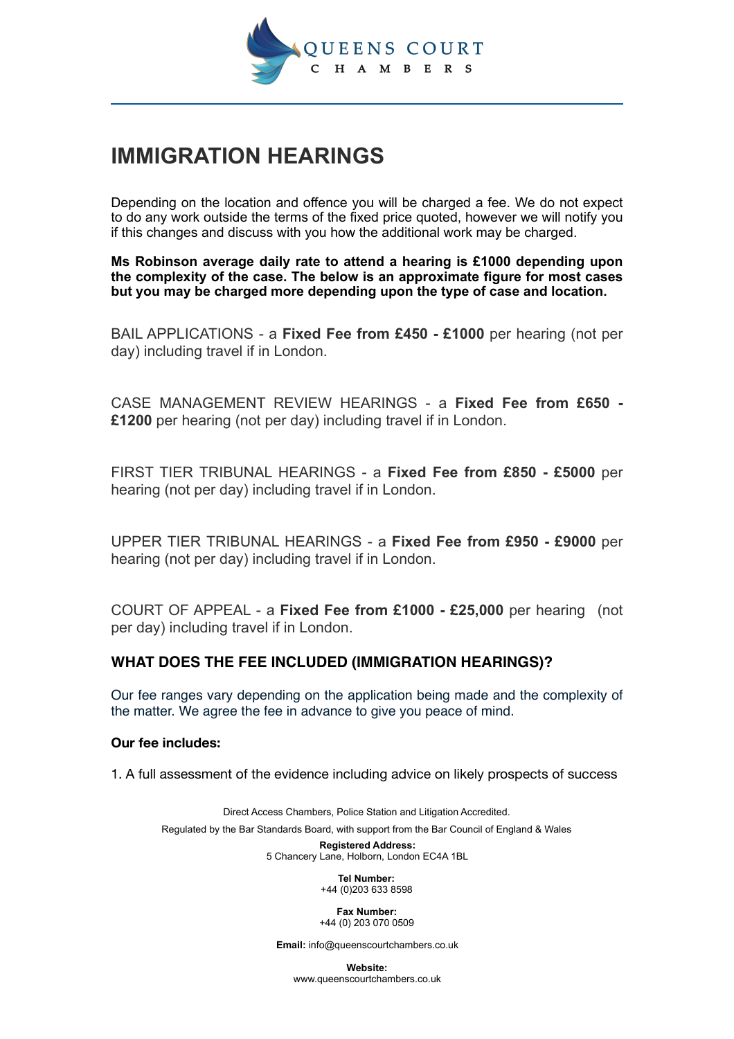

# **IMMIGRATION HEARINGS**

Depending on the location and offence you will be charged a fee. We do not expect to do any work outside the terms of the fixed price quoted, however we will notify you if this changes and discuss with you how the additional work may be charged.

**Ms Robinson average daily rate to attend a hearing is £1000 depending upon the complexity of the case. The below is an approximate figure for most cases but you may be charged more depending upon the type of case and location.** 

BAIL APPLICATIONS - a **Fixed Fee from £450 - £1000** per hearing (not per day) including travel if in London.

CASE MANAGEMENT REVIEW HEARINGS - a **Fixed Fee from £650 - £1200** per hearing (not per day) including travel if in London.

FIRST TIER TRIBUNAL HEARINGS - a **Fixed Fee from £850 - £5000** per hearing (not per day) including travel if in London.

UPPER TIER TRIBUNAL HEARINGS - a **Fixed Fee from £950 - £9000** per hearing (not per day) including travel if in London.

COURT OF APPEAL - a **Fixed Fee from £1000 - £25,000** per hearing (not per day) including travel if in London.

### **WHAT DOES THE FEE INCLUDED (IMMIGRATION HEARINGS)?**

Our fee ranges vary depending on the application being made and the complexity of the matter. We agree the fee in advance to give you peace of mind.

#### **Our fee includes:**

1. A full assessment of the evidence including advice on likely prospects of success

Direct Access Chambers, Police Station and Litigation Accredited. Regulated by the Bar Standards Board, with support from the Bar Council of England & Wales **Registered Address:** 

5 Chancery Lane, Holborn, London EC4A 1BL

**Tel Number:**  +44 (0)203 633 8598

**Fax Number:**  +44 (0) 203 070 0509

**Email:** info@queenscourtchambers.co.uk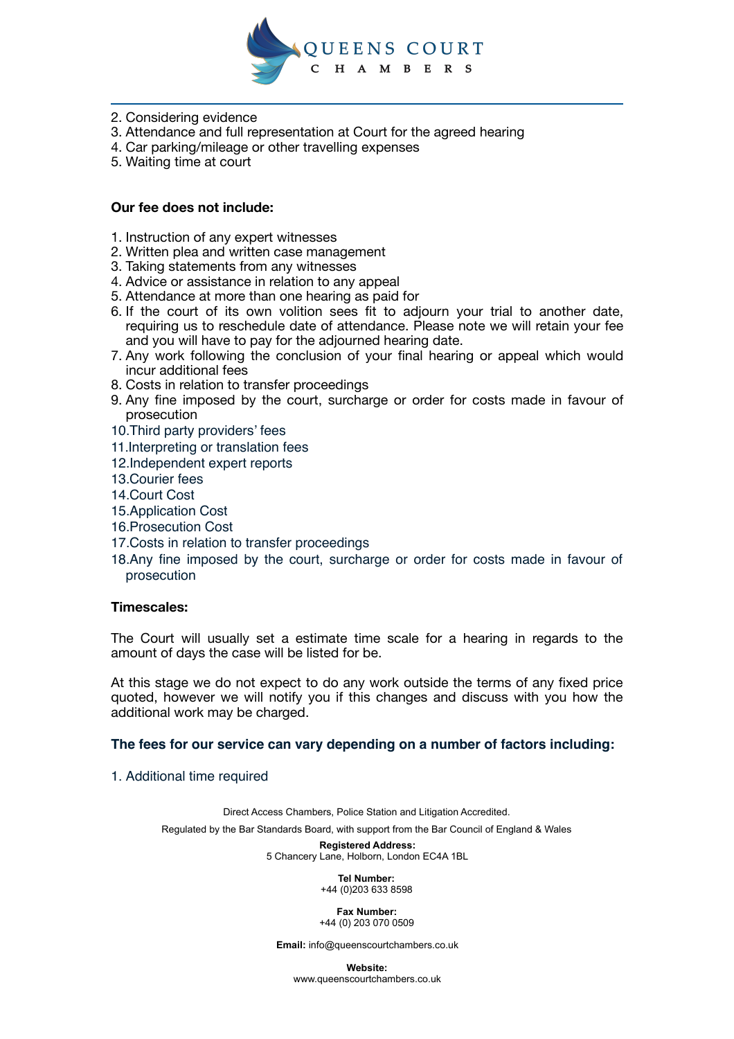

- 2. Considering evidence
- 3. Attendance and full representation at Court for the agreed hearing
- 4. Car parking/mileage or other travelling expenses
- 5. Waiting time at court

#### **Our fee does not include:**

- 1. Instruction of any expert witnesses
- 2. Written plea and written case management
- 3. Taking statements from any witnesses
- 4. Advice or assistance in relation to any appeal
- 5. Attendance at more than one hearing as paid for
- 6. If the court of its own volition sees fit to adjourn your trial to another date, requiring us to reschedule date of attendance. Please note we will retain your fee and you will have to pay for the adjourned hearing date.
- 7. Any work following the conclusion of your final hearing or appeal which would incur additional fees
- 8. Costs in relation to transfer proceedings
- 9. Any fine imposed by the court, surcharge or order for costs made in favour of prosecution
- 10.Third party providers' fees
- 11.Interpreting or translation fees
- 12.Independent expert reports
- 13.Courier fees
- 14.Court Cost
- 15.Application Cost
- 16.Prosecution Cost
- 17.Costs in relation to transfer proceedings
- 18.Any fine imposed by the court, surcharge or order for costs made in favour of prosecution

#### **Timescales:**

The Court will usually set a estimate time scale for a hearing in regards to the amount of days the case will be listed for be.

At this stage we do not expect to do any work outside the terms of any fixed price quoted, however we will notify you if this changes and discuss with you how the additional work may be charged.

#### **The fees for our service can vary depending on a number of factors including:**

1. Additional time required

Direct Access Chambers, Police Station and Litigation Accredited. Regulated by the Bar Standards Board, with support from the Bar Council of England & Wales

> **Registered Address:**  5 Chancery Lane, Holborn, London EC4A 1BL

> > **Tel Number:**  +44 (0)203 633 8598

#### **Fax Number:**  +44 (0) 203 070 0509

**Email:** info@queenscourtchambers.co.uk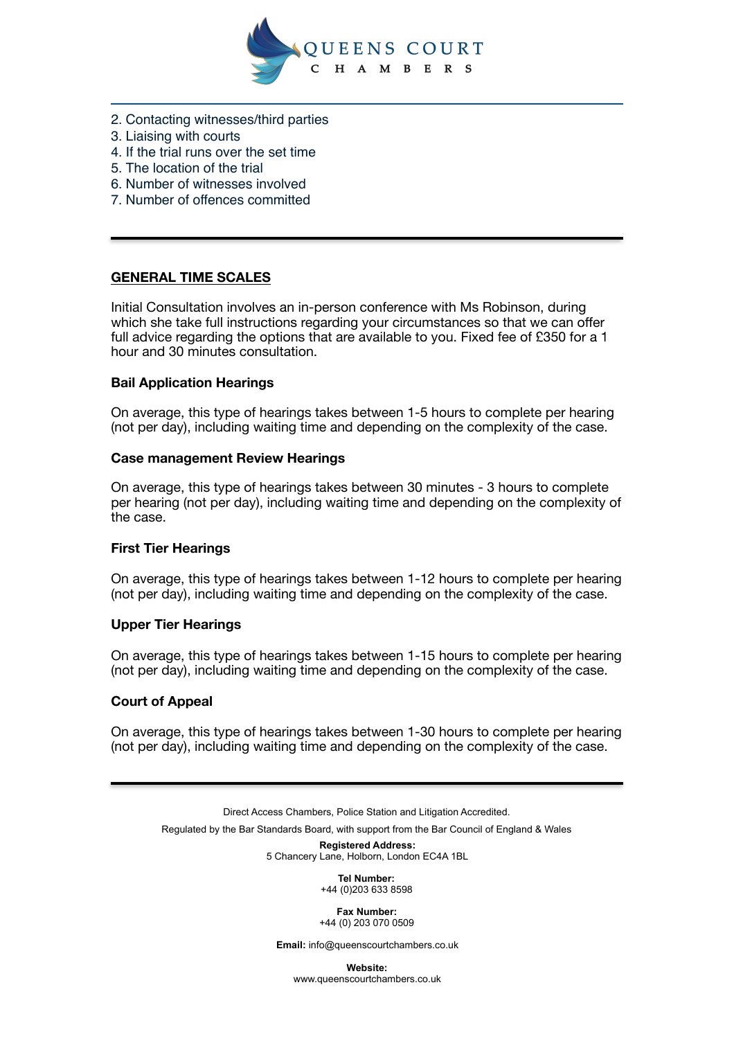

- 2. Contacting witnesses/third parties
- 3. Liaising with courts
- 4. If the trial runs over the set time
- 5. The location of the trial
- 6. Number of witnesses involved
- 7. Number of offences committed

### **GENERAL TIME SCALES**

Initial Consultation involves an in-person conference with Ms Robinson, during which she take full instructions regarding your circumstances so that we can offer full advice regarding the options that are available to you. Fixed fee of £350 for a 1 hour and 30 minutes consultation.

### **Bail Application Hearings**

On average, this type of hearings takes between 1-5 hours to complete per hearing (not per day), including waiting time and depending on the complexity of the case.

### **Case management Review Hearings**

On average, this type of hearings takes between 30 minutes - 3 hours to complete per hearing (not per day), including waiting time and depending on the complexity of the case.

#### **First Tier Hearings**

On average, this type of hearings takes between 1-12 hours to complete per hearing (not per day), including waiting time and depending on the complexity of the case.

### **Upper Tier Hearings**

On average, this type of hearings takes between 1-15 hours to complete per hearing (not per day), including waiting time and depending on the complexity of the case.

#### **Court of Appeal**

On average, this type of hearings takes between 1-30 hours to complete per hearing (not per day), including waiting time and depending on the complexity of the case.

Direct Access Chambers, Police Station and Litigation Accredited. Regulated by the Bar Standards Board, with support from the Bar Council of England & Wales

**Registered Address:**  5 Chancery Lane, Holborn, London EC4A 1BL

> **Tel Number:**  +44 (0)203 633 8598

**Fax Number:**  +44 (0) 203 070 0509

**Email:** info@queenscourtchambers.co.uk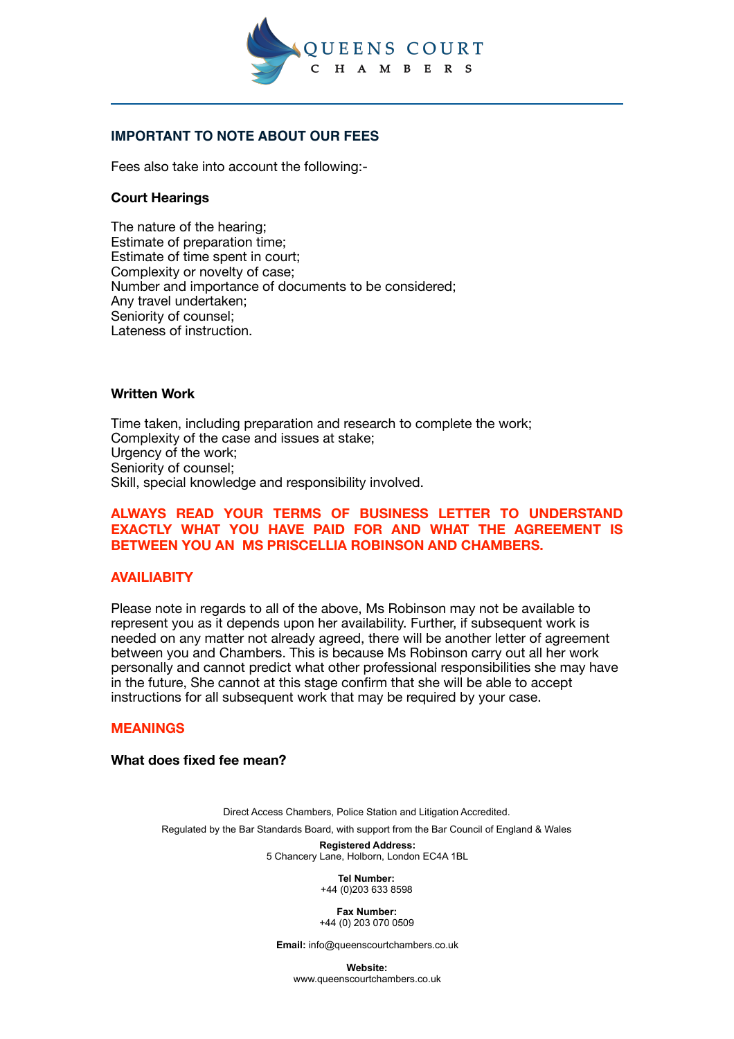

### **IMPORTANT TO NOTE ABOUT OUR FEES**

Fees also take into account the following:-

### **Court Hearings**

The nature of the hearing; Estimate of preparation time; Estimate of time spent in court; Complexity or novelty of case; Number and importance of documents to be considered; Any travel undertaken; Seniority of counsel; Lateness of instruction.

### **Written Work**

Time taken, including preparation and research to complete the work; Complexity of the case and issues at stake; Urgency of the work: Seniority of counsel; Skill, special knowledge and responsibility involved.

### **ALWAYS READ YOUR TERMS OF BUSINESS LETTER TO UNDERSTAND EXACTLY WHAT YOU HAVE PAID FOR AND WHAT THE AGREEMENT IS BETWEEN YOU AN MS PRISCELLIA ROBINSON AND CHAMBERS.**

#### **AVAILIABITY**

Please note in regards to all of the above, Ms Robinson may not be available to represent you as it depends upon her availability. Further, if subsequent work is needed on any matter not already agreed, there will be another letter of agreement between you and Chambers. This is because Ms Robinson carry out all her work personally and cannot predict what other professional responsibilities she may have in the future, She cannot at this stage confirm that she will be able to accept instructions for all subsequent work that may be required by your case.

#### **MEANINGS**

#### **What does fixed fee mean?**

Direct Access Chambers, Police Station and Litigation Accredited. Regulated by the Bar Standards Board, with support from the Bar Council of England & Wales

> **Registered Address:**  5 Chancery Lane, Holborn, London EC4A 1BL

> > **Tel Number:**  +44 (0)203 633 8598

**Fax Number:**  +44 (0) 203 070 0509

**Email:** info@queenscourtchambers.co.uk